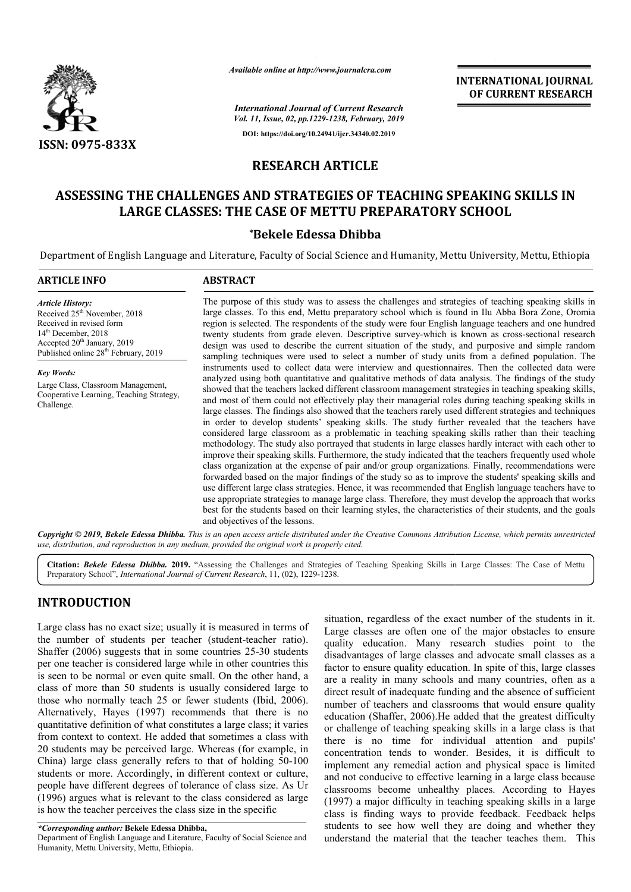

*Available online at http://www.journalcra.com*

**INTERNATIONAL JOURNAL OF CURRENT RESEARCH**

*International Journal of Current Research Vol. 11, Issue, 02, pp.1229-1238, February, 2019* **DOI: https://doi.org/10.24941/ijcr.34340.02.2019**

# **RESEARCH ARTICLE**

# **ASSESSING THE CHALLENGES AND STRATEGIES OF TEACHING SPEAKING SKILLS IN LARGE CLASSES: THE CASE OF METTU PREPARATORY PREPARATORY SCHOOL**

# **\*Bekele Edessa Dhibba**

Department of English Language and Literature, Faculty of Social Science and Humanity, Mettu University, Mettu, Ethiopia

| <b>ARTICLE INFO</b>                                                                                                                                                                                                               | <b>ABSTRACT</b>                                                                                                                                                                                                                                                                                                                                                                                                                                                                                                                                                                                                                                                                                                                                                                                                                                                                                                                                                                                                                                                                                                                                                                                                                                                                                                                                                                                                                                                                                                                                              |  |  |  |  |  |  |  |
|-----------------------------------------------------------------------------------------------------------------------------------------------------------------------------------------------------------------------------------|--------------------------------------------------------------------------------------------------------------------------------------------------------------------------------------------------------------------------------------------------------------------------------------------------------------------------------------------------------------------------------------------------------------------------------------------------------------------------------------------------------------------------------------------------------------------------------------------------------------------------------------------------------------------------------------------------------------------------------------------------------------------------------------------------------------------------------------------------------------------------------------------------------------------------------------------------------------------------------------------------------------------------------------------------------------------------------------------------------------------------------------------------------------------------------------------------------------------------------------------------------------------------------------------------------------------------------------------------------------------------------------------------------------------------------------------------------------------------------------------------------------------------------------------------------------|--|--|--|--|--|--|--|
| <b>Article History:</b><br>Received 25 <sup>th</sup> November, 2018<br>Received in revised form<br>14 <sup>th</sup> December, 2018<br>Accepted 20 <sup>th</sup> January, 2019<br>Published online 28 <sup>th</sup> February, 2019 | The purpose of this study was to assess the challenges and strategies of teaching speaking skills in<br>large classes. To this end, Mettu preparatory school which is found in Ilu Abba Bora Zone, Oromia<br>region is selected. The respondents of the study were four English language teachers and one hundred<br>twenty students from grade eleven. Descriptive survey-which is known as cross-sectional research<br>design was used to describe the current situation of the study, and purposive and simple random<br>sampling techniques were used to select a number of study units from a defined population. The                                                                                                                                                                                                                                                                                                                                                                                                                                                                                                                                                                                                                                                                                                                                                                                                                                                                                                                                   |  |  |  |  |  |  |  |
| <b>Key Words:</b><br>Large Class, Classroom Management,<br>Cooperative Learning, Teaching Strategy,<br>Challenge.                                                                                                                 | instruments used to collect data were interview and questionnaires. Then the collected data were<br>analyzed using both quantitative and qualitative methods of data analysis. The findings of the study<br>showed that the teachers lacked different classroom management strategies in teaching speaking skills,<br>and most of them could not effectively play their managerial roles during teaching speaking skills in<br>large classes. The findings also showed that the teachers rarely used different strategies and techniques<br>in order to develop students' speaking skills. The study further revealed that the teachers have<br>considered large classroom as a problematic in teaching speaking skills rather than their teaching<br>methodology. The study also portrayed that students in large classes hardly interact with each other to<br>improve their speaking skills. Furthermore, the study indicated that the teachers frequently used whole<br>class organization at the expense of pair and/or group organizations. Finally, recommendations were<br>forwarded based on the major findings of the study so as to improve the students' speaking skills and<br>use different large class strategies. Hence, it was recommended that English language teachers have to<br>use appropriate strategies to manage large class. Therefore, they must develop the approach that works<br>best for the students based on their learning styles, the characteristics of their students, and the goals<br>and objectives of the lessons. |  |  |  |  |  |  |  |

Copyright © 2019, Bekele Edessa Dhibba. This is an open access article distributed under the Creative Commons Attribution License, which permits unrestrictea *use, distribution, and reproduction in any medium, provided the original work is properly cited.*

Citation: Bekele Edessa Dhibba. 2019. "Assessing the Challenges and Strategies of Teaching Speaking Skills in Large Classes: The Case of Mettu Preparatory School", *International Journal of Current Research*, 11, (02), 1229-1238.

# **INTRODUCTION**

Large class has no exact size; usually it is measured in terms of the number of students per teacher (student (student-teacher ratio). Shaffer (2006) suggests that in some countries 25-30 students per one teacher is considered large while in other countries this is seen to be normal or even quite small. On the other hand, a class of more than 50 students is usually considered large to those who normally teach 25 or fewer students (Ibid, 2006). Alternatively, Hayes (1997) recommends that there is no quantitative definition of what constitutes a large class; it varies from context to context. He added that sometimes a class with 20 students may be perceived large. Whereas (for example, in China) large class generally refers to that of holding 50-100 students or more. Accordingly, in different context or culture, people have different degrees of tolerance of class size. As Ur (1996) argues what is relevant to the class considered as large is how the teacher perceives the class size in the specific

Department of English Language and Literature, Faculty of Social Science and Humanity, Mettu University, Mettu, Ethiopia.

situation, regardless of the exact number of the students in it. Large classes are often one of the major obstacles to ensure quality education. Many research studies point to the disadvantages of large classes and advocate small classes as a factor to ensure quality education. In spite of this, large classes are a reality in many schools and many countries, often as a direct result of inadequate funding and the absence of sufficient number of teachers and classrooms that would ensure quality education (Shaffer, 2006).He added that the greatest difficulty or challenge of teaching speaking skills in a large class is that there is no time for individual attention and pupils' concentration tends to wonder. Besides, it is difficult to implement any remedial action and physical space is limited and not conducive to effective learning in a large class because classrooms become unhealthy places. According to Hayes (1997) a major difficulty in teaching speaking skills in a large class is finding ways to provide feedback. Feedback helps students to see how well they are doing and whether they understand the material that the teacher teaches them. This

*<sup>\*</sup>Corresponding author:* **Bekele Edessa Dhibba,**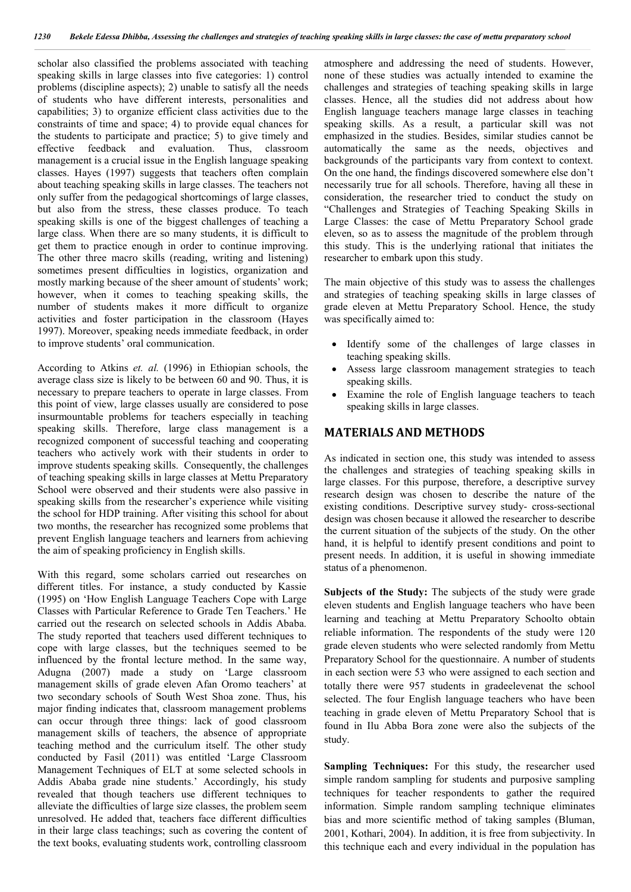scholar also classified the problems associated with teaching speaking skills in large classes into five categories: 1) control problems (discipline aspects); 2) unable to satisfy all the needs of students who have different interests, personalities and capabilities; 3) to organize efficient class activities due to the constraints of time and space; 4) to provide equal chances for the students to participate and practice; 5) to give timely and effective feedback and evaluation. Thus, classroom management is a crucial issue in the English language speaking classes. Hayes (1997) suggests that teachers often complain about teaching speaking skills in large classes. The teachers not only suffer from the pedagogical shortcomings of large classes, but also from the stress, these classes produce. To teach speaking skills is one of the biggest challenges of teaching a large class. When there are so many students, it is difficult to get them to practice enough in order to continue improving. The other three macro skills (reading, writing and listening) sometimes present difficulties in logistics, organization and mostly marking because of the sheer amount of students' work; however, when it comes to teaching speaking skills, the number of students makes it more difficult to organize activities and foster participation in the classroom (Hayes 1997). Moreover, speaking needs immediate feedback, in order to improve students' oral communication.

According to Atkins *et. al.* (1996) in Ethiopian schools, the average class size is likely to be between 60 and 90. Thus, it is necessary to prepare teachers to operate in large classes. From this point of view, large classes usually are considered to pose insurmountable problems for teachers especially in teaching speaking skills. Therefore, large class management is a recognized component of successful teaching and cooperating teachers who actively work with their students in order to improve students speaking skills. Consequently, the challenges of teaching speaking skills in large classes at Mettu Preparatory School were observed and their students were also passive in speaking skills from the researcher's experience while visiting the school for HDP training. After visiting this school for about two months, the researcher has recognized some problems that prevent English language teachers and learners from achieving the aim of speaking proficiency in English skills.

With this regard, some scholars carried out researches on different titles. For instance, a study conducted by Kassie (1995) on 'How English Language Teachers Cope with Large Classes with Particular Reference to Grade Ten Teachers.' He carried out the research on selected schools in Addis Ababa. The study reported that teachers used different techniques to cope with large classes, but the techniques seemed to be influenced by the frontal lecture method. In the same way, Adugna (2007) made a study on 'Large classroom management skills of grade eleven Afan Oromo teachers' at two secondary schools of South West Shoa zone. Thus, his major finding indicates that, classroom management problems can occur through three things: lack of good classroom management skills of teachers, the absence of appropriate teaching method and the curriculum itself. The other study conducted by Fasil (2011) was entitled 'Large Classroom Management Techniques of ELT at some selected schools in Addis Ababa grade nine students.' Accordingly, his study revealed that though teachers use different techniques to alleviate the difficulties of large size classes, the problem seem unresolved. He added that, teachers face different difficulties in their large class teachings; such as covering the content of the text books, evaluating students work, controlling classroom

atmosphere and addressing the need of students. However, none of these studies was actually intended to examine the challenges and strategies of teaching speaking skills in large classes. Hence, all the studies did not address about how English language teachers manage large classes in teaching speaking skills. As a result, a particular skill was not emphasized in the studies. Besides, similar studies cannot be automatically the same as the needs, objectives and backgrounds of the participants vary from context to context. On the one hand, the findings discovered somewhere else don't necessarily true for all schools. Therefore, having all these in consideration, the researcher tried to conduct the study on "Challenges and Strategies of Teaching Speaking Skills in Large Classes: the case of Mettu Preparatory School grade eleven, so as to assess the magnitude of the problem through this study. This is the underlying rational that initiates the researcher to embark upon this study.

The main objective of this study was to assess the challenges and strategies of teaching speaking skills in large classes of grade eleven at Mettu Preparatory School. Hence, the study was specifically aimed to:

- Identify some of the challenges of large classes in teaching speaking skills.
- Assess large classroom management strategies to teach speaking skills.
- Examine the role of English language teachers to teach speaking skills in large classes.

### **MATERIALS AND METHODS**

As indicated in section one, this study was intended to assess the challenges and strategies of teaching speaking skills in large classes. For this purpose, therefore, a descriptive survey research design was chosen to describe the nature of the existing conditions. Descriptive survey study- cross-sectional design was chosen because it allowed the researcher to describe the current situation of the subjects of the study. On the other hand, it is helpful to identify present conditions and point to present needs. In addition, it is useful in showing immediate status of a phenomenon.

**Subjects of the Study:** The subjects of the study were grade eleven students and English language teachers who have been learning and teaching at Mettu Preparatory Schoolto obtain reliable information. The respondents of the study were 120 grade eleven students who were selected randomly from Mettu Preparatory School for the questionnaire. A number of students in each section were 53 who were assigned to each section and totally there were 957 students in gradeelevenat the school selected. The four English language teachers who have been teaching in grade eleven of Mettu Preparatory School that is found in Ilu Abba Bora zone were also the subjects of the study.

**Sampling Techniques:** For this study, the researcher used simple random sampling for students and purposive sampling techniques for teacher respondents to gather the required information. Simple random sampling technique eliminates bias and more scientific method of taking samples (Bluman, 2001, Kothari, 2004). In addition, it is free from subjectivity. In this technique each and every individual in the population has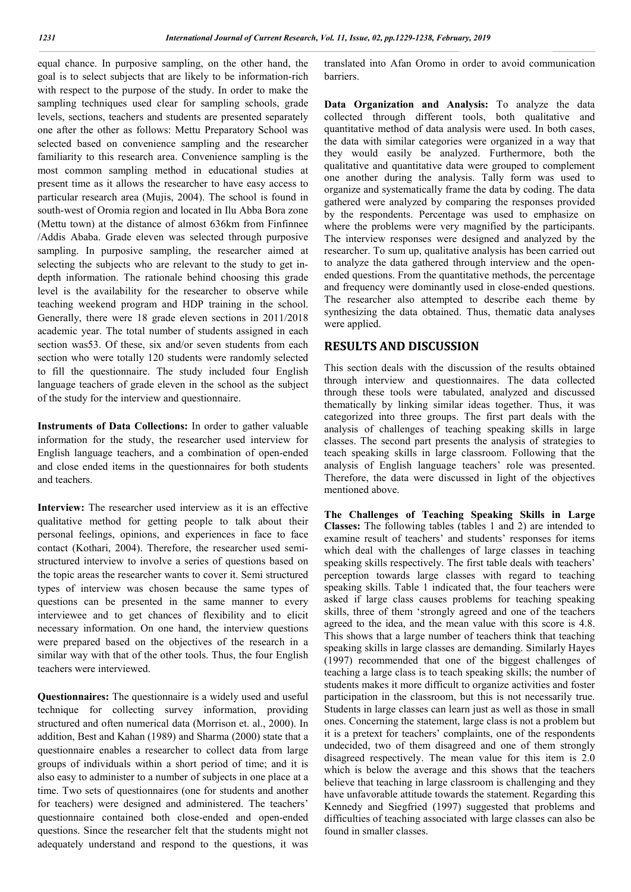equal chance. In purposive sampling, on the other hand, the goal is to select subjects that are likely to be information-rich with respect to the purpose of the study. In order to make the sampling techniques used clear for sampling schools, grade levels, sections, teachers and students are presented separately one after the other as follows: Mettu Preparatory School was selected based on convenience sampling and the researcher familiarity to this research area. Convenience sampling is the most common sampling method in educational studies at present time as it allows the researcher to have easy access to particular research area (Mujis, 2004). The school is found in south-west of Oromia region and located in Ilu Abba Bora zone (Mettu town) at the distance of almost 636km from Finfinnee /Addis Ababa. Grade eleven was selected through purposive sampling. In purposive sampling, the researcher aimed at selecting the subjects who are relevant to the study to get indepth information. The rationale behind choosing this grade level is the availability for the researcher to observe while teaching weekend program and HDP training in the school. Generally, there were 18 grade eleven sections in 2011/2018 academic year. The total number of students assigned in each section was53. Of these, six and/or seven students from each section who were totally 120 students were randomly selected to fill the questionnaire. The study included four English language teachers of grade eleven in the school as the subject of the study for the interview and questionnaire.

**Instruments of Data Collections:** In order to gather valuable information for the study, the researcher used interview for English language teachers, and a combination of open-ended and close ended items in the questionnaires for both students and teachers.

**Interview:** The researcher used interview as it is an effective qualitative method for getting people to talk about their personal feelings, opinions, and experiences in face to face contact (Kothari, 2004). Therefore, the researcher used semistructured interview to involve a series of questions based on the topic areas the researcher wants to cover it. Semi structured types of interview was chosen because the same types of questions can be presented in the same manner to every interviewee and to get chances of flexibility and to elicit necessary information. On one hand, the interview questions were prepared based on the objectives of the research in a similar way with that of the other tools. Thus, the four English teachers were interviewed.

**Questionnaires:** The questionnaire is a widely used and useful technique for collecting survey information, providing structured and often numerical data (Morrison et. al., 2000). In addition, Best and Kahan (1989) and Sharma (2000) state that a questionnaire enables a researcher to collect data from large groups of individuals within a short period of time; and it is also easy to administer to a number of subjects in one place at a time. Two sets of questionnaires (one for students and another for teachers) were designed and administered. The teachers' questionnaire contained both close-ended and open-ended questions. Since the researcher felt that the students might not adequately understand and respond to the questions, it was

translated into Afan Oromo in order to avoid communication barriers.

**Data Organization and Analysis:** To analyze the data collected through different tools, both qualitative and quantitative method of data analysis were used. In both cases, the data with similar categories were organized in a way that they would easily be analyzed. Furthermore, both the qualitative and quantitative data were grouped to complement one another during the analysis. Tally form was used to organize and systematically frame the data by coding. The data gathered were analyzed by comparing the responses provided by the respondents. Percentage was used to emphasize on where the problems were very magnified by the participants. The interview responses were designed and analyzed by the researcher. To sum up, qualitative analysis has been carried out to analyze the data gathered through interview and the openended questions. From the quantitative methods, the percentage and frequency were dominantly used in close-ended questions. The researcher also attempted to describe each theme by synthesizing the data obtained. Thus, thematic data analyses were applied.

## **RESULTS AND DISCUSSION**

This section deals with the discussion of the results obtained through interview and questionnaires. The data collected through these tools were tabulated, analyzed and discussed thematically by linking similar ideas together. Thus, it was categorized into three groups. The first part deals with the analysis of challenges of teaching speaking skills in large classes. The second part presents the analysis of strategies to teach speaking skills in large classroom. Following that the analysis of English language teachers' role was presented. Therefore, the data were discussed in light of the objectives mentioned above.

**The Challenges of Teaching Speaking Skills in Large Classes:** The following tables (tables 1 and 2) are intended to examine result of teachers' and students' responses for items which deal with the challenges of large classes in teaching speaking skills respectively. The first table deals with teachers' perception towards large classes with regard to teaching speaking skills. Table 1 indicated that, the four teachers were asked if large class causes problems for teaching speaking skills, three of them 'strongly agreed and one of the teachers agreed to the idea, and the mean value with this score is 4.8. This shows that a large number of teachers think that teaching speaking skills in large classes are demanding. Similarly Hayes (1997) recommended that one of the biggest challenges of teaching a large class is to teach speaking skills; the number of students makes it more difficult to organize activities and foster participation in the classroom, but this is not necessarily true. Students in large classes can learn just as well as those in small ones. Concerning the statement, large class is not a problem but it is a pretext for teachers' complaints, one of the respondents undecided, two of them disagreed and one of them strongly disagreed respectively. The mean value for this item is 2.0 which is below the average and this shows that the teachers believe that teaching in large classroom is challenging and they have unfavorable attitude towards the statement. Regarding this Kennedy and Siegfried (1997) suggested that problems and difficulties of teaching associated with large classes can also be found in smaller classes.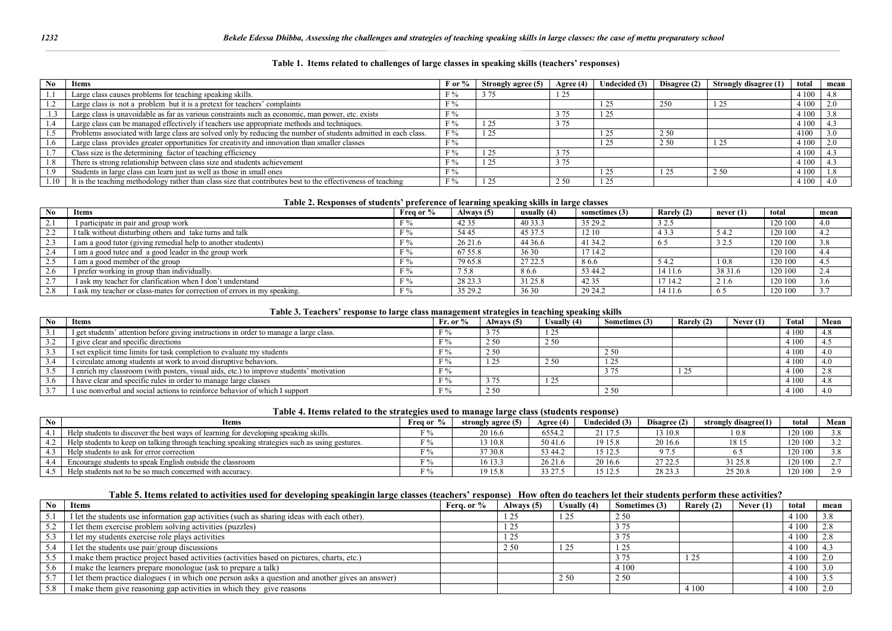#### **Table 1. Items related to challenges of large classes in speaking skills (teachers' responses)**

| No | Items                                                                                                           | ∃or % | Strongly agree (5) |       | Agree $(4)$ Undecided $(3)$ | Disagree $(2)$ | Strongly disagree (1) | total | mean |
|----|-----------------------------------------------------------------------------------------------------------------|-------|--------------------|-------|-----------------------------|----------------|-----------------------|-------|------|
|    | Large class causes problems for teaching speaking skills.                                                       | F %   | 3 7 5              | 1 25  |                             |                |                       | 4 100 |      |
|    | Large class is not a problem but it is a pretext for teachers' complaints                                       | F %   |                    |       | . 25                        | 250            |                       | 4 100 |      |
|    | Large class is unavoidable as far as various constraints such as economic, man power, etc. exists               | F %   |                    | 3 75  | i 25                        |                |                       | 4 100 |      |
|    | Large class can be managed effectively if teachers use appropriate methods and techniques.                      | $F\%$ | 1 25               | 3 7 5 |                             |                |                       | 4 100 |      |
|    | Problems associated with large class are solved only by reducing the number of students admitted in each class. | F%    | 1 25               |       | . 25                        | 2.50           |                       | 4100  |      |
|    | Large class provides greater opportunities for creativity and innovation than smaller classes                   | F%    |                    |       | 25                          | 2.50           |                       | 4 100 |      |
|    | Class size is the determining factor of teaching efficiency                                                     | F%    | 1 25               | 3 75  |                             |                |                       | 4 100 |      |
|    | There is strong relationship between class size and students achievement                                        | F %   | 1 25               | 3 7 5 |                             |                |                       | 4 100 |      |
|    | Students in large class can learn just as well as those in small ones                                           | F%    |                    |       | . 25                        |                | 2 50                  | 4 100 |      |
|    | It is the teaching methodology rather than class size that contributes best to the effectiveness of teaching    | F%    | 1 25               | 2.50  | l 25                        |                |                       | 4 100 |      |

#### **Table 2. Responses of students' preference of learning speaking skills in large classes**

| <b>No</b> | <b>Items</b>                                                             | Freq or % | Always (5) | usually $(4)$ | sometimes (3) | Rarely (2) | never $(1)$       | total   | mean |
|-----------|--------------------------------------------------------------------------|-----------|------------|---------------|---------------|------------|-------------------|---------|------|
|           | I participate in pair and group work                                     |           | 42 35      | 40 33.3       | 35 29.2       | 3 2.5      |                   | 120 100 | 4.0  |
| ∠.∠       | I talk without disturbing others and take turns and talk                 |           | 54 45      | 45 37.5       | 12 10         | 4 3 3      | 54.2              | 120 100 | 4.2  |
| 2.3       | I am a good tutor (giving remedial help to another students)             |           | 26 21.6    | 44 36.6       | 41 34.2       |            | 32.5              | 120 100 | 3.8  |
| 2.4       | I am a good tutee and a good leader in the group work                    |           | 67 55.8    | 36 30         | 17 14.2       |            |                   | 120 100 | 4.4  |
| 2.5       | I am a good member of the group                                          |           | 79 65.8    | 27 22.5       | 86.6          | 54.2       | 10.8              | 120 100 | 4.5  |
|           | I prefer working in group than individually.                             |           | 75.8       | 86.6          | 53 44.2       | 14 11.6    | 38 31.6           | 120 100 | 2.4  |
|           | I ask my teacher for clarification when I don't understand               |           | 28 23.3    | 31 25.8       | 42 35         | 17 14.2    | $\sim$ 1<br>2 I.O | 120 100 | 3.6  |
|           | I ask my teacher or class-mates for correction of errors in my speaking. |           | 35 29.2    | 36 30         | 29 24.2       | 14 11.6    |                   | 120 100 | 3.7  |

#### **Table 3. Teachers' response to large class management strategies in teaching speaking skills**

| No | Items                                                                                   | Fr. or $%$ | Always (5) | Usually (4) | Sometimes (3) | Rarely (2) | Never $(1)$ | Total   | Mean |
|----|-----------------------------------------------------------------------------------------|------------|------------|-------------|---------------|------------|-------------|---------|------|
|    | I get students' attention before giving instructions in order to manage a large class.  |            |            | رے ہ        |               |            |             | 4 100   |      |
|    | I give clear and specific directions                                                    |            | 2.50       | 2.50        |               |            |             | 4 1 0 0 |      |
|    | I set explicit time limits for task completion to evaluate my students                  |            | 2.50       |             | 2.50          |            |             | 4 100   | 4.0  |
|    | I circulate among students at work to avoid disruptive behaviors.                       |            |            | 2.50        | 1 25          |            |             | 4 100   | 4.0  |
|    | I enrich my classroom (with posters, visual aids, etc.) to improve students' motivation |            |            |             |               |            |             | 4 100   |      |
|    | I have clear and specific rules in order to manage large classes                        |            |            |             |               |            |             | 4 1 0 0 |      |
|    | I use nonverbal and social actions to reinforce behavior of which I support             |            | 2 5 0      |             | 2 50          |            |             | 4 100   |      |

#### **Table 4. Items related to the strategies used to manage large class (students response)**

| No | <b>Items</b>                                                                                  | Freq or %           | strongly agree (5) | Agree (4) | Jndecided (3) | Disagree (2) | strongly disagree(1) | total   | Mean |
|----|-----------------------------------------------------------------------------------------------|---------------------|--------------------|-----------|---------------|--------------|----------------------|---------|------|
|    | Help students to discover the best ways of learning for developing speaking skills.           | $\nabla \theta_{0}$ | 20 16.6            | 6554.2    | 2117.         | 13 10.8      |                      | 120 100 |      |
|    | Help students to keep on talking through teaching speaking strategies such as using gestures. | $\nabla \theta_{0}$ | 13 10.8            | 5041.6    | 19 15.8       | 20 16.6      | 18 1.                | 120 100 |      |
|    | Help students to ask for error correction                                                     | $\nabla \theta_{0}$ | 37 30.8            | 53 44.2   | 15 12.5       | 975          |                      | 120 100 |      |
|    | Encourage students to speak English outside the classroom                                     |                     | 16 13.3            | 2621.     | 20 16.6       | 2722.5       | 31 25.8              | 120 100 |      |
|    | Help students not to be so much concerned with accuracy.                                      |                     | 19 15.8            | 33 27.5   | 15 12.:       | 28 23.3      | 25 20.8              | 120 100 |      |

### **Table 5. Items related to activities used for developing speakingin large classes (teachers' response) How often do teachers let their students perform these activities?**

| N <sub>0</sub> | <b>Items</b>                                                                                    | Fera. or % | Always (5) | Usually (4) | Sometimes (3) | Rarely (2) | Never (1) | tota    | mean |
|----------------|-------------------------------------------------------------------------------------------------|------------|------------|-------------|---------------|------------|-----------|---------|------|
| 5.1            | I let the students use information gap activities (such as sharing ideas with each other).      |            | 1 25       | 1 25        | 2.50          |            |           | 4 1 0 0 | 3.8  |
| 5.2            | I let them exercise problem solving activities (puzzles)                                        |            | 1 2 5      |             |               |            |           | 4 1 0 0 |      |
| 5.3            | I let my students exercise role plays activities                                                |            | 1 25       |             |               |            |           | 4 1 0 0 |      |
| 5.4            | I let the students use pair/group discussions                                                   |            | 2.50       | 1 25        |               |            |           | 4 1 0 0 |      |
| 5.5            | I make them practice project based activities (activities based on pictures, charts, etc.)      |            |            |             | 275           |            |           | 4 1 0 0 |      |
| 5.6            | I make the learners prepare monologue (ask to prepare a talk)                                   |            |            |             | 4 100         |            |           | 4 1 0 0 |      |
| 5.7            | I let them practice dialogues (in which one person asks a question and another gives an answer) |            |            | 2 50        | 2.50          |            |           | 4 1 0 0 |      |
|                | I make them give reasoning gap activities in which they give reasons                            |            |            |             |               | 4 1 0 0    |           | 4 1 0 0 |      |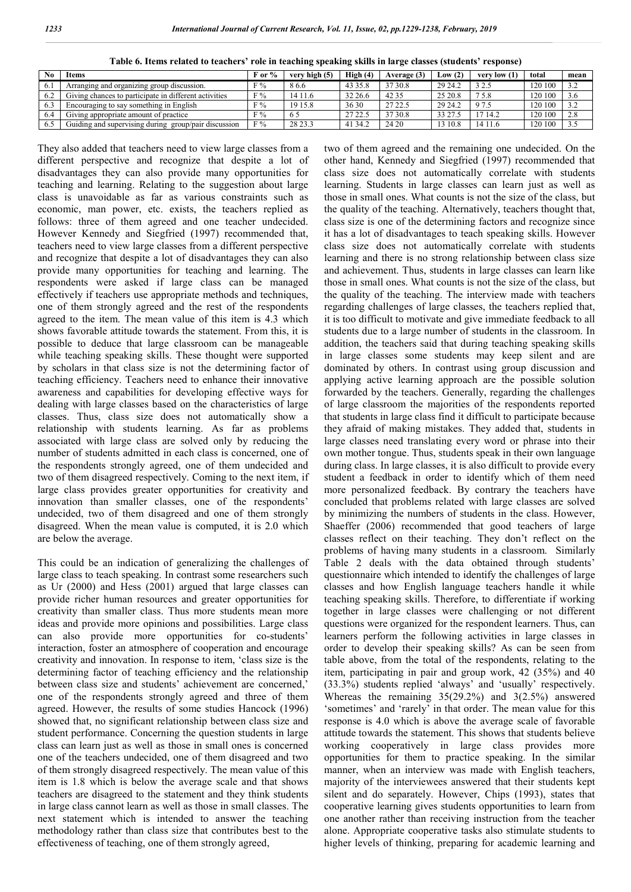| N <sub>0</sub> | <b>Items</b>                                          | $F$ or % | very high (5)  | High(4) | Average (3) | Low $(2)$ | very low $(1)$ | total   | mean |
|----------------|-------------------------------------------------------|----------|----------------|---------|-------------|-----------|----------------|---------|------|
| 0. .           | Arranging and organizing group discussion.            | F%       | 86.6           | 43 35.8 | 37 30.8     | 29 24.2   | 3 2.5          | 120 100 | 32   |
|                | Giving chances to participate in different activities | F%       | 14 11.6        | 32 26.6 | 42 35       | 25 20.8   | 75.8           | 120 100 | 3.6  |
|                | Encouraging to say something in English               | F%       | 19 15.8        | 36 30   | 27 22.5     | 29 24.2   | 9 7.5          | 120 100 | 32   |
| 6.4            | Giving appropriate amount of practice                 | F%       | <sup>6</sup> : | 2722.   | 37 30.8     | 33 27.    | 1714.2         | 120 100 | 2.8  |
|                | Guiding and supervising during group/pair discussion  | F%       | 28 23.3        | 41 34.2 | 24 20       | 10.8      | 14 11.6        | 120 100 |      |

**Table 6. Items related to teachers' role in teaching speaking skills in large classes (students' response)**

They also added that teachers need to view large classes from a different perspective and recognize that despite a lot of disadvantages they can also provide many opportunities for teaching and learning. Relating to the suggestion about large class is unavoidable as far as various constraints such as economic, man power, etc. exists, the teachers replied as follows: three of them agreed and one teacher undecided. However Kennedy and Siegfried (1997) recommended that, teachers need to view large classes from a different perspective and recognize that despite a lot of disadvantages they can also provide many opportunities for teaching and learning. The respondents were asked if large class can be managed effectively if teachers use appropriate methods and techniques, one of them strongly agreed and the rest of the respondents agreed to the item. The mean value of this item is 4.3 which shows favorable attitude towards the statement. From this, it is possible to deduce that large classroom can be manageable while teaching speaking skills. These thought were supported by scholars in that class size is not the determining factor of teaching efficiency. Teachers need to enhance their innovative awareness and capabilities for developing effective ways for dealing with large classes based on the characteristics of large classes. Thus, class size does not automatically show a relationship with students learning. As far as problems associated with large class are solved only by reducing the number of students admitted in each class is concerned, one of the respondents strongly agreed, one of them undecided and two of them disagreed respectively. Coming to the next item, if large class provides greater opportunities for creativity and innovation than smaller classes, one of the respondents' undecided, two of them disagreed and one of them strongly disagreed. When the mean value is computed, it is 2.0 which are below the average.

This could be an indication of generalizing the challenges of large class to teach speaking. In contrast some researchers such as Ur (2000) and Hess (2001) argued that large classes can provide richer human resources and greater opportunities for creativity than smaller class. Thus more students mean more ideas and provide more opinions and possibilities. Large class can also provide more opportunities for co-students' interaction, foster an atmosphere of cooperation and encourage creativity and innovation. In response to item, 'class size is the determining factor of teaching efficiency and the relationship between class size and students' achievement are concerned,' one of the respondents strongly agreed and three of them agreed. However, the results of some studies Hancock (1996) showed that, no significant relationship between class size and student performance. Concerning the question students in large class can learn just as well as those in small ones is concerned one of the teachers undecided, one of them disagreed and two of them strongly disagreed respectively. The mean value of this item is 1.8 which is below the average scale and that shows teachers are disagreed to the statement and they think students in large class cannot learn as well as those in small classes. The next statement which is intended to answer the teaching methodology rather than class size that contributes best to the effectiveness of teaching, one of them strongly agreed,

two of them agreed and the remaining one undecided. On the other hand, Kennedy and Siegfried (1997) recommended that class size does not automatically correlate with students learning. Students in large classes can learn just as well as those in small ones. What counts is not the size of the class, but the quality of the teaching. Alternatively, teachers thought that, class size is one of the determining factors and recognize since it has a lot of disadvantages to teach speaking skills. However class size does not automatically correlate with students learning and there is no strong relationship between class size and achievement. Thus, students in large classes can learn like those in small ones. What counts is not the size of the class, but the quality of the teaching. The interview made with teachers regarding challenges of large classes, the teachers replied that, it is too difficult to motivate and give immediate feedback to all students due to a large number of students in the classroom. In addition, the teachers said that during teaching speaking skills in large classes some students may keep silent and are dominated by others. In contrast using group discussion and applying active learning approach are the possible solution forwarded by the teachers. Generally, regarding the challenges of large classroom the majorities of the respondents reported that students in large class find it difficult to participate because they afraid of making mistakes. They added that, students in large classes need translating every word or phrase into their own mother tongue. Thus, students speak in their own language during class. In large classes, it is also difficult to provide every student a feedback in order to identify which of them need more personalized feedback. By contrary the teachers have concluded that problems related with large classes are solved by minimizing the numbers of students in the class. However, Shaeffer (2006) recommended that good teachers of large classes reflect on their teaching. They don't reflect on the problems of having many students in a classroom. Similarly Table 2 deals with the data obtained through students' questionnaire which intended to identify the challenges of large classes and how English language teachers handle it while teaching speaking skills. Therefore, to differentiate if working together in large classes were challenging or not different questions were organized for the respondent learners. Thus, can learners perform the following activities in large classes in order to develop their speaking skills? As can be seen from table above, from the total of the respondents, relating to the item, participating in pair and group work, 42 (35%) and 40 (33.3%) students replied 'always' and 'usually' respectively. Whereas the remaining 35(29.2%) and 3(2.5%) answered 'sometimes' and 'rarely' in that order. The mean value for this response is 4.0 which is above the average scale of favorable attitude towards the statement. This shows that students believe working cooperatively in large class provides more opportunities for them to practice speaking. In the similar manner, when an interview was made with English teachers, majority of the interviewees answered that their students kept silent and do separately. However, Chips (1993), states that cooperative learning gives students opportunities to learn from one another rather than receiving instruction from the teacher alone. Appropriate cooperative tasks also stimulate students to higher levels of thinking, preparing for academic learning and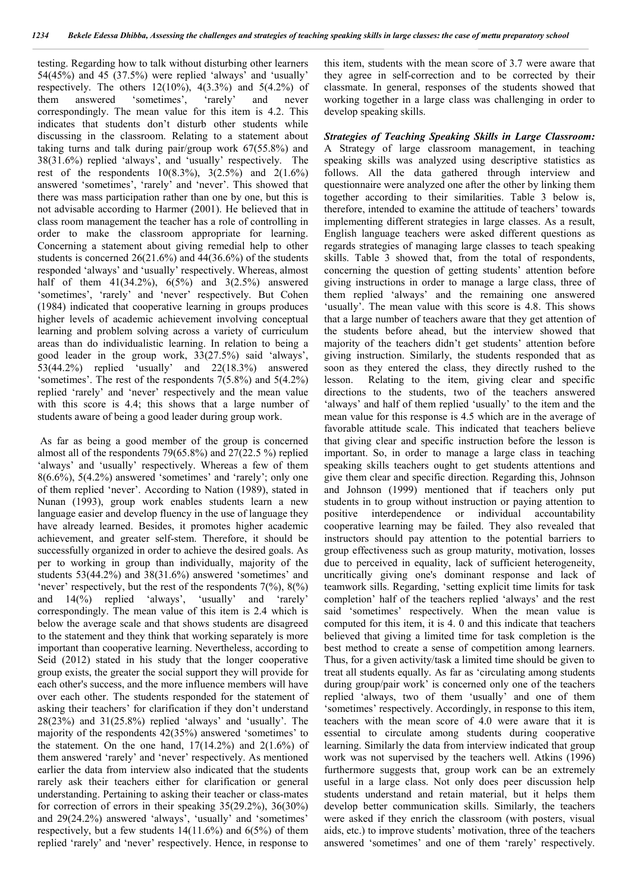testing. Regarding how to talk without disturbing other learners 54(45%) and 45 (37.5%) were replied 'always' and 'usually' respectively. The others  $12(10\%)$ ,  $4(3.3\%)$  and  $5(4.2\%)$  of them answered 'sometimes', 'rarely' and never correspondingly. The mean value for this item is 4.2. This indicates that students don't disturb other students while discussing in the classroom. Relating to a statement about taking turns and talk during pair/group work 67(55.8%) and 38(31.6%) replied 'always', and 'usually' respectively. The rest of the respondents  $10(8.3\%)$ ,  $3(2.5\%)$  and  $2(1.6\%)$ answered 'sometimes', 'rarely' and 'never'. This showed that there was mass participation rather than one by one, but this is not advisable according to Harmer (2001). He believed that in class room management the teacher has a role of controlling in order to make the classroom appropriate for learning. Concerning a statement about giving remedial help to other students is concerned 26(21.6%) and 44(36.6%) of the students responded 'always' and 'usually' respectively. Whereas, almost half of them  $41(34.2\%)$ ,  $6(5\%)$  and  $3(2.5\%)$  answered 'sometimes', 'rarely' and 'never' respectively. But Cohen (1984) indicated that cooperative learning in groups produces higher levels of academic achievement involving conceptual learning and problem solving across a variety of curriculum areas than do individualistic learning. In relation to being a good leader in the group work, 33(27.5%) said 'always', 53(44.2%) replied 'usually' and 22(18.3%) answered 'sometimes'. The rest of the respondents 7(5.8%) and 5(4.2%) replied 'rarely' and 'never' respectively and the mean value with this score is 4.4; this shows that a large number of students aware of being a good leader during group work.

As far as being a good member of the group is concerned almost all of the respondents 79(65.8%) and 27(22.5 %) replied 'always' and 'usually' respectively. Whereas a few of them  $8(6.6\%)$ ,  $5(4.2\%)$  answered 'sometimes' and 'rarely'; only one of them replied 'never'. According to Nation (1989), stated in Nunan (1993), group work enables students learn a new language easier and develop fluency in the use of language they have already learned. Besides, it promotes higher academic achievement, and greater self-stem. Therefore, it should be successfully organized in order to achieve the desired goals. As per to working in group than individually, majority of the students 53(44.2%) and 38(31.6%) answered 'sometimes' and 'never' respectively, but the rest of the respondents  $7(\%)$ ,  $8(\%)$ and 14(%) replied 'always', 'usually' and 'rarely' correspondingly. The mean value of this item is 2.4 which is below the average scale and that shows students are disagreed to the statement and they think that working separately is more important than cooperative learning. Nevertheless, according to Seid (2012) stated in his study that the longer cooperative group exists, the greater the social support they will provide for each other's success, and the more influence members will have over each other. The students responded for the statement of asking their teachers' for clarification if they don't understand 28(23%) and 31(25.8%) replied 'always' and 'usually'. The majority of the respondents 42(35%) answered 'sometimes' to the statement. On the one hand,  $17(14.2%)$  and  $2(1.6%)$  of them answered 'rarely' and 'never' respectively. As mentioned earlier the data from interview also indicated that the students rarely ask their teachers either for clarification or general understanding. Pertaining to asking their teacher or class-mates for correction of errors in their speaking 35(29.2%), 36(30%) and 29(24.2%) answered 'always', 'usually' and 'sometimes' respectively, but a few students 14(11.6%) and 6(5%) of them replied 'rarely' and 'never' respectively. Hence, in response to

this item, students with the mean score of 3.7 were aware that they agree in self-correction and to be corrected by their classmate. In general, responses of the students showed that working together in a large class was challenging in order to develop speaking skills.

*Strategies of Teaching Speaking Skills in Large Classroom:* A Strategy of large classroom management, in teaching speaking skills was analyzed using descriptive statistics as follows. All the data gathered through interview and questionnaire were analyzed one after the other by linking them together according to their similarities. Table 3 below is, therefore, intended to examine the attitude of teachers' towards implementing different strategies in large classes. As a result, English language teachers were asked different questions as regards strategies of managing large classes to teach speaking skills. Table 3 showed that, from the total of respondents, concerning the question of getting students' attention before giving instructions in order to manage a large class, three of them replied 'always' and the remaining one answered 'usually'. The mean value with this score is 4.8. This shows that a large number of teachers aware that they get attention of the students before ahead, but the interview showed that majority of the teachers didn't get students' attention before giving instruction. Similarly, the students responded that as soon as they entered the class, they directly rushed to the lesson. Relating to the item, giving clear and specific directions to the students, two of the teachers answered 'always' and half of them replied 'usually' to the item and the mean value for this response is 4.5 which are in the average of favorable attitude scale. This indicated that teachers believe that giving clear and specific instruction before the lesson is important. So, in order to manage a large class in teaching speaking skills teachers ought to get students attentions and give them clear and specific direction. Regarding this, Johnson and Johnson (1999) mentioned that if teachers only put students in to group without instruction or paying attention to positive interdependence or individual accountability cooperative learning may be failed. They also revealed that instructors should pay attention to the potential barriers to group effectiveness such as group maturity, motivation, losses due to perceived in equality, lack of sufficient heterogeneity, uncritically giving one's dominant response and lack of teamwork sills. Regarding, 'setting explicit time limits for task completion' half of the teachers replied 'always' and the rest said 'sometimes' respectively. When the mean value is computed for this item, it is 4. 0 and this indicate that teachers believed that giving a limited time for task completion is the best method to create a sense of competition among learners. Thus, for a given activity/task a limited time should be given to treat all students equally. As far as 'circulating among students during group/pair work' is concerned only one of the teachers replied 'always, two of them 'usually' and one of them 'sometimes' respectively. Accordingly, in response to this item, teachers with the mean score of 4.0 were aware that it is essential to circulate among students during cooperative learning. Similarly the data from interview indicated that group work was not supervised by the teachers well. Atkins (1996) furthermore suggests that, group work can be an extremely useful in a large class. Not only does peer discussion help students understand and retain material, but it helps them develop better communication skills. Similarly, the teachers were asked if they enrich the classroom (with posters, visual aids, etc.) to improve students' motivation, three of the teachers answered 'sometimes' and one of them 'rarely' respectively.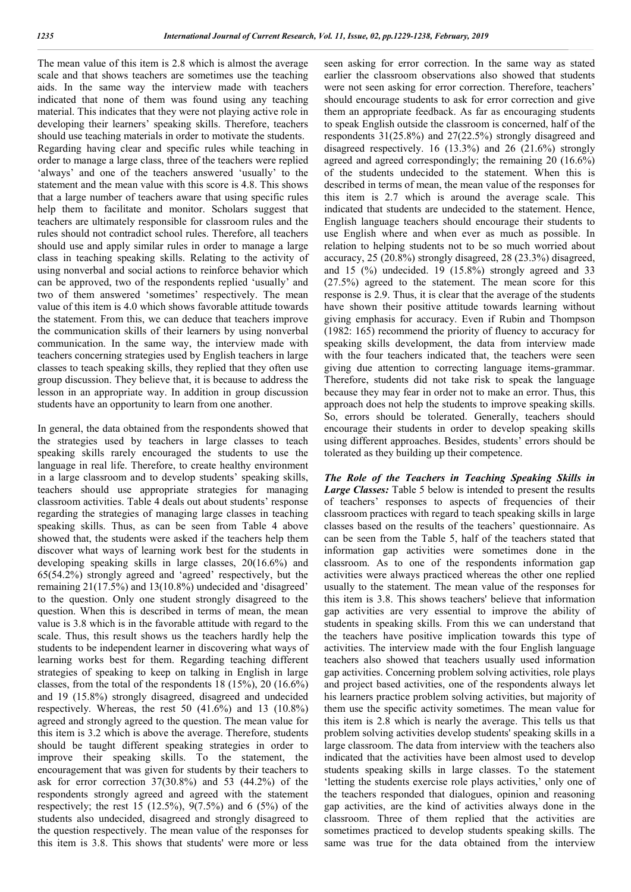The mean value of this item is 2.8 which is almost the average scale and that shows teachers are sometimes use the teaching aids. In the same way the interview made with teachers indicated that none of them was found using any teaching material. This indicates that they were not playing active role in developing their learners' speaking skills. Therefore, teachers should use teaching materials in order to motivate the students. Regarding having clear and specific rules while teaching in order to manage a large class, three of the teachers were replied 'always' and one of the teachers answered 'usually' to the statement and the mean value with this score is 4.8. This shows that a large number of teachers aware that using specific rules help them to facilitate and monitor. Scholars suggest that teachers are ultimately responsible for classroom rules and the rules should not contradict school rules. Therefore, all teachers should use and apply similar rules in order to manage a large class in teaching speaking skills. Relating to the activity of using nonverbal and social actions to reinforce behavior which can be approved, two of the respondents replied 'usually' and two of them answered 'sometimes' respectively. The mean value of this item is 4.0 which shows favorable attitude towards the statement. From this, we can deduce that teachers improve the communication skills of their learners by using nonverbal communication. In the same way, the interview made with teachers concerning strategies used by English teachers in large classes to teach speaking skills, they replied that they often use group discussion. They believe that, it is because to address the lesson in an appropriate way. In addition in group discussion students have an opportunity to learn from one another.

In general, the data obtained from the respondents showed that the strategies used by teachers in large classes to teach speaking skills rarely encouraged the students to use the language in real life. Therefore, to create healthy environment in a large classroom and to develop students' speaking skills, teachers should use appropriate strategies for managing classroom activities. Table 4 deals out about students' response regarding the strategies of managing large classes in teaching speaking skills. Thus, as can be seen from Table 4 above showed that, the students were asked if the teachers help them discover what ways of learning work best for the students in developing speaking skills in large classes, 20(16.6%) and 65(54.2%) strongly agreed and 'agreed' respectively, but the remaining 21(17.5%) and 13(10.8%) undecided and 'disagreed' to the question. Only one student strongly disagreed to the question. When this is described in terms of mean, the mean value is 3.8 which is in the favorable attitude with regard to the scale. Thus, this result shows us the teachers hardly help the students to be independent learner in discovering what ways of learning works best for them. Regarding teaching different strategies of speaking to keep on talking in English in large classes, from the total of the respondents 18 (15%), 20 (16.6%) and 19 (15.8%) strongly disagreed, disagreed and undecided respectively. Whereas, the rest 50 (41.6%) and 13 (10.8%) agreed and strongly agreed to the question. The mean value for this item is 3.2 which is above the average. Therefore, students should be taught different speaking strategies in order to improve their speaking skills. To the statement, the encouragement that was given for students by their teachers to ask for error correction 37(30.8%) and 53 (44.2%) of the respondents strongly agreed and agreed with the statement respectively; the rest 15 (12.5%),  $9(7.5\%)$  and 6 (5%) of the students also undecided, disagreed and strongly disagreed to the question respectively. The mean value of the responses for this item is 3.8. This shows that students' were more or less

seen asking for error correction. In the same way as stated earlier the classroom observations also showed that students were not seen asking for error correction. Therefore, teachers' should encourage students to ask for error correction and give them an appropriate feedback. As far as encouraging students to speak English outside the classroom is concerned, half of the respondents 31(25.8%) and 27(22.5%) strongly disagreed and disagreed respectively. 16 (13.3%) and 26 (21.6%) strongly agreed and agreed correspondingly; the remaining 20 (16.6%) of the students undecided to the statement. When this is described in terms of mean, the mean value of the responses for this item is 2.7 which is around the average scale. This indicated that students are undecided to the statement. Hence, English language teachers should encourage their students to use English where and when ever as much as possible. In relation to helping students not to be so much worried about accuracy, 25 (20.8%) strongly disagreed, 28 (23.3%) disagreed, and 15 (%) undecided. 19 (15.8%) strongly agreed and 33 (27.5%) agreed to the statement. The mean score for this response is 2.9. Thus, it is clear that the average of the students have shown their positive attitude towards learning without giving emphasis for accuracy. Even if Rubin and Thompson (1982: 165) recommend the priority of fluency to accuracy for speaking skills development, the data from interview made with the four teachers indicated that, the teachers were seen giving due attention to correcting language items-grammar. Therefore, students did not take risk to speak the language because they may fear in order not to make an error. Thus, this approach does not help the students to improve speaking skills. So, errors should be tolerated. Generally, teachers should encourage their students in order to develop speaking skills using different approaches. Besides, students' errors should be tolerated as they building up their competence.

*The Role of the Teachers in Teaching Speaking Skills in Large Classes:* Table 5 below is intended to present the results of teachers' responses to aspects of frequencies of their classroom practices with regard to teach speaking skills in large classes based on the results of the teachers' questionnaire. As can be seen from the Table 5, half of the teachers stated that information gap activities were sometimes done in the classroom. As to one of the respondents information gap activities were always practiced whereas the other one replied usually to the statement. The mean value of the responses for this item is 3.8. This shows teachers' believe that information gap activities are very essential to improve the ability of students in speaking skills. From this we can understand that the teachers have positive implication towards this type of activities. The interview made with the four English language teachers also showed that teachers usually used information gap activities. Concerning problem solving activities, role plays and project based activities, one of the respondents always let his learners practice problem solving activities, but majority of them use the specific activity sometimes. The mean value for this item is 2.8 which is nearly the average. This tells us that problem solving activities develop students' speaking skills in a large classroom. The data from interview with the teachers also indicated that the activities have been almost used to develop students speaking skills in large classes. To the statement 'letting the students exercise role plays activities,' only one of the teachers responded that dialogues, opinion and reasoning gap activities, are the kind of activities always done in the classroom. Three of them replied that the activities are sometimes practiced to develop students speaking skills. The same was true for the data obtained from the interview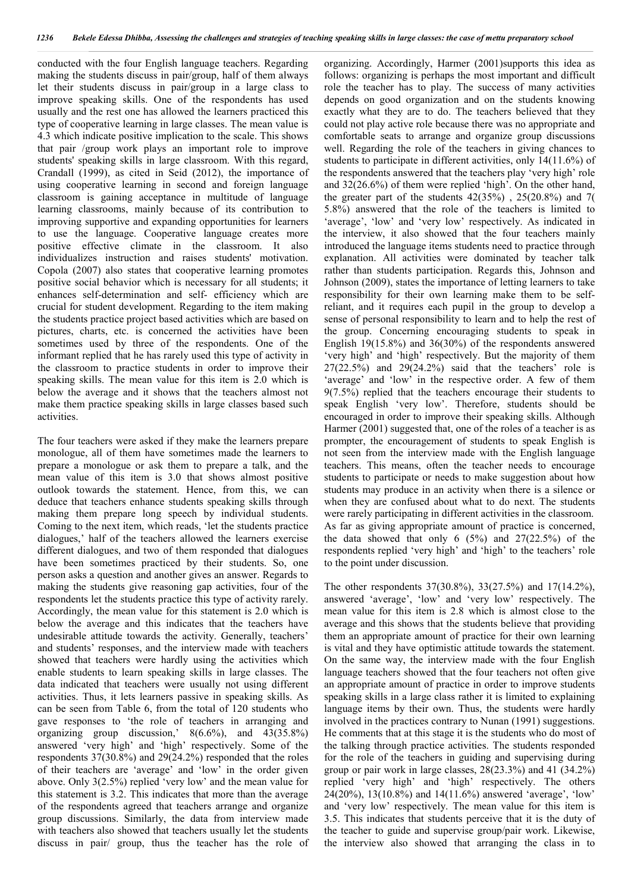conducted with the four English language teachers. Regarding making the students discuss in pair/group, half of them always let their students discuss in pair/group in a large class to improve speaking skills. One of the respondents has used usually and the rest one has allowed the learners practiced this type of cooperative learning in large classes. The mean value is 4.3 which indicate positive implication to the scale. This shows that pair /group work plays an important role to improve students' speaking skills in large classroom. With this regard, Crandall (1999), as cited in Seid (2012), the importance of using cooperative learning in second and foreign language classroom is gaining acceptance in multitude of language learning classrooms, mainly because of its contribution to improving supportive and expanding opportunities for learners to use the language. Cooperative language creates more positive effective climate in the classroom. It also individualizes instruction and raises students' motivation. Copola (2007) also states that cooperative learning promotes positive social behavior which is necessary for all students; it enhances self-determination and self- efficiency which are crucial for student development. Regarding to the item making the students practice project based activities which are based on pictures, charts, etc. is concerned the activities have been sometimes used by three of the respondents. One of the informant replied that he has rarely used this type of activity in the classroom to practice students in order to improve their speaking skills. The mean value for this item is 2.0 which is below the average and it shows that the teachers almost not make them practice speaking skills in large classes based such activities.

The four teachers were asked if they make the learners prepare monologue, all of them have sometimes made the learners to prepare a monologue or ask them to prepare a talk, and the mean value of this item is 3.0 that shows almost positive outlook towards the statement. Hence, from this, we can deduce that teachers enhance students speaking skills through making them prepare long speech by individual students. Coming to the next item, which reads, 'let the students practice dialogues,' half of the teachers allowed the learners exercise different dialogues, and two of them responded that dialogues have been sometimes practiced by their students. So, one person asks a question and another gives an answer. Regards to making the students give reasoning gap activities, four of the respondents let the students practice this type of activity rarely. Accordingly, the mean value for this statement is 2.0 which is below the average and this indicates that the teachers have undesirable attitude towards the activity. Generally, teachers' and students' responses, and the interview made with teachers showed that teachers were hardly using the activities which enable students to learn speaking skills in large classes. The data indicated that teachers were usually not using different activities. Thus, it lets learners passive in speaking skills. As can be seen from Table 6, from the total of 120 students who gave responses to 'the role of teachers in arranging and organizing group discussion,' 8(6.6%), and 43(35.8%) answered 'very high' and 'high' respectively. Some of the respondents 37(30.8%) and 29(24.2%) responded that the roles of their teachers are 'average' and 'low' in the order given above. Only 3(2.5%) replied 'very low' and the mean value for this statement is 3.2. This indicates that more than the average of the respondents agreed that teachers arrange and organize group discussions. Similarly, the data from interview made with teachers also showed that teachers usually let the students discuss in pair/ group, thus the teacher has the role of organizing. Accordingly, Harmer (2001)supports this idea as follows: organizing is perhaps the most important and difficult role the teacher has to play. The success of many activities depends on good organization and on the students knowing exactly what they are to do. The teachers believed that they could not play active role because there was no appropriate and comfortable seats to arrange and organize group discussions well. Regarding the role of the teachers in giving chances to students to participate in different activities, only 14(11.6%) of the respondents answered that the teachers play 'very high' role and 32(26.6%) of them were replied 'high'. On the other hand, the greater part of the students 42(35%) , 25(20.8%) and 7( 5.8%) answered that the role of the teachers is limited to 'average', 'low' and 'very low' respectively. As indicated in the interview, it also showed that the four teachers mainly introduced the language items students need to practice through explanation. All activities were dominated by teacher talk rather than students participation. Regards this, Johnson and Johnson (2009), states the importance of letting learners to take responsibility for their own learning make them to be selfreliant, and it requires each pupil in the group to develop a sense of personal responsibility to learn and to help the rest of the group. Concerning encouraging students to speak in English 19(15.8%) and 36(30%) of the respondents answered 'very high' and 'high' respectively. But the majority of them  $27(22.5%)$  and  $29(24.2%)$  said that the teachers' role is 'average' and 'low' in the respective order. A few of them 9(7.5%) replied that the teachers encourage their students to speak English 'very low'. Therefore, students should be encouraged in order to improve their speaking skills. Although Harmer (2001) suggested that, one of the roles of a teacher is as prompter, the encouragement of students to speak English is not seen from the interview made with the English language teachers. This means, often the teacher needs to encourage students to participate or needs to make suggestion about how students may produce in an activity when there is a silence or when they are confused about what to do next. The students were rarely participating in different activities in the classroom. As far as giving appropriate amount of practice is concerned, the data showed that only  $6$   $(5\%)$  and  $27(22.5\%)$  of the respondents replied 'very high' and 'high' to the teachers' role to the point under discussion.

The other respondents 37(30.8%), 33(27.5%) and 17(14.2%), answered 'average', 'low' and 'very low' respectively. The mean value for this item is 2.8 which is almost close to the average and this shows that the students believe that providing them an appropriate amount of practice for their own learning is vital and they have optimistic attitude towards the statement. On the same way, the interview made with the four English language teachers showed that the four teachers not often give an appropriate amount of practice in order to improve students speaking skills in a large class rather it is limited to explaining language items by their own. Thus, the students were hardly involved in the practices contrary to Nunan (1991) suggestions. He comments that at this stage it is the students who do most of the talking through practice activities. The students responded for the role of the teachers in guiding and supervising during group or pair work in large classes, 28(23.3%) and 41 (34.2%) replied 'very high' and 'high' respectively. The others 24(20%), 13(10.8%) and 14(11.6%) answered 'average', 'low' and 'very low' respectively. The mean value for this item is 3.5. This indicates that students perceive that it is the duty of the teacher to guide and supervise group/pair work. Likewise, the interview also showed that arranging the class in to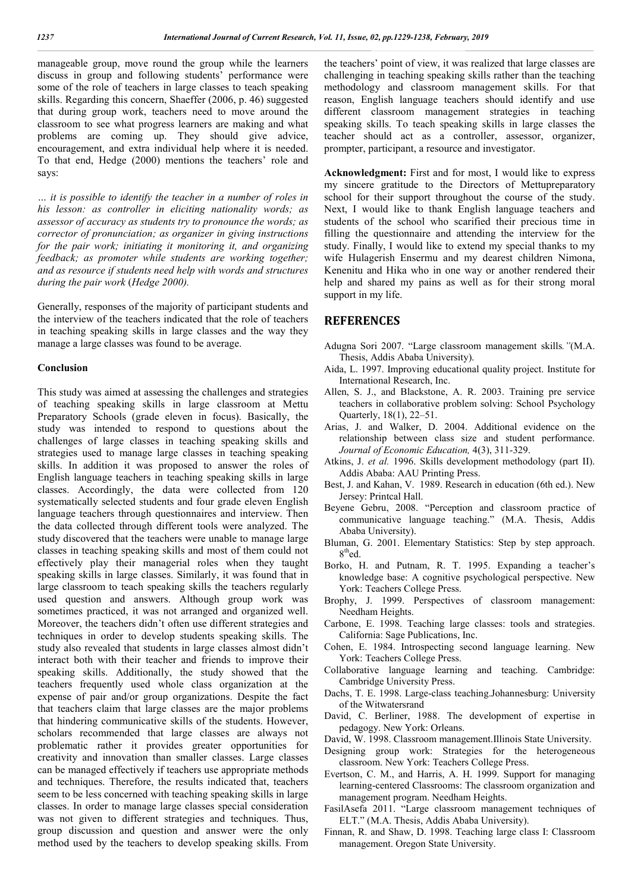manageable group, move round the group while the learners discuss in group and following students' performance were some of the role of teachers in large classes to teach speaking skills. Regarding this concern, Shaeffer (2006, p. 46) suggested that during group work, teachers need to move around the classroom to see what progress learners are making and what problems are coming up. They should give advice, encouragement, and extra individual help where it is needed. To that end, Hedge (2000) mentions the teachers' role and says:

*… it is possible to identify the teacher in a number of roles in his lesson: as controller in eliciting nationality words; as assessor of accuracy as students try to pronounce the words; as corrector of pronunciation; as organizer in giving instructions for the pair work; initiating it monitoring it, and organizing feedback; as promoter while students are working together; and as resource if students need help with words and structures during the pair work* (*Hedge 2000).*

Generally, responses of the majority of participant students and the interview of the teachers indicated that the role of teachers in teaching speaking skills in large classes and the way they manage a large classes was found to be average.

### **Conclusion**

This study was aimed at assessing the challenges and strategies of teaching speaking skills in large classroom at Mettu Preparatory Schools (grade eleven in focus). Basically, the study was intended to respond to questions about the challenges of large classes in teaching speaking skills and strategies used to manage large classes in teaching speaking skills. In addition it was proposed to answer the roles of English language teachers in teaching speaking skills in large classes. Accordingly, the data were collected from 120 systematically selected students and four grade eleven English language teachers through questionnaires and interview. Then the data collected through different tools were analyzed. The study discovered that the teachers were unable to manage large classes in teaching speaking skills and most of them could not effectively play their managerial roles when they taught speaking skills in large classes. Similarly, it was found that in large classroom to teach speaking skills the teachers regularly used question and answers. Although group work was sometimes practiced, it was not arranged and organized well. Moreover, the teachers didn't often use different strategies and techniques in order to develop students speaking skills. The study also revealed that students in large classes almost didn't interact both with their teacher and friends to improve their speaking skills. Additionally, the study showed that the teachers frequently used whole class organization at the expense of pair and/or group organizations. Despite the fact that teachers claim that large classes are the major problems that hindering communicative skills of the students. However, scholars recommended that large classes are always not problematic rather it provides greater opportunities for creativity and innovation than smaller classes. Large classes can be managed effectively if teachers use appropriate methods and techniques. Therefore, the results indicated that, teachers seem to be less concerned with teaching speaking skills in large classes. In order to manage large classes special consideration was not given to different strategies and techniques. Thus, group discussion and question and answer were the only method used by the teachers to develop speaking skills. From

the teachers' point of view, it was realized that large classes are challenging in teaching speaking skills rather than the teaching methodology and classroom management skills. For that reason, English language teachers should identify and use different classroom management strategies in teaching speaking skills. To teach speaking skills in large classes the teacher should act as a controller, assessor, organizer, prompter, participant, a resource and investigator.

**Acknowledgment:** First and for most, I would like to express my sincere gratitude to the Directors of Mettupreparatory school for their support throughout the course of the study. Next, I would like to thank English language teachers and students of the school who scarified their precious time in filling the questionnaire and attending the interview for the study. Finally, I would like to extend my special thanks to my wife Hulagerish Ensermu and my dearest children Nimona, Kenenitu and Hika who in one way or another rendered their help and shared my pains as well as for their strong moral support in my life.

## **REFERENCES**

- Adugna Sori 2007. "Large classroom management skills*."*(M.A. Thesis, Addis Ababa University).
- Aida, L. 1997. Improving educational quality project. Institute for International Research, Inc.
- Allen, S. J., and Blackstone, A. R. 2003. Training pre service teachers in collaborative problem solving: School Psychology Quarterly, 18(1), 22–51.
- Arias, J. and Walker, D. 2004. Additional evidence on the relationship between class size and student performance. *Journal of Economic Education,* 4(3), 311-329.
- Atkins, J. *et al.* 1996. Skills development methodology (part II). Addis Ababa: AAU Printing Press.
- Best, J. and Kahan, V. 1989. Research in education (6th ed.). New Jersey: Printcal Hall.
- Beyene Gebru, 2008. "Perception and classroom practice of communicative language teaching." (M.A. Thesis, Addis Ababa University).
- Bluman, G. 2001. Elementary Statistics: Step by step approach. 8<sup>th</sup>ed.
- Borko, H. and Putnam, R. T. 1995. Expanding a teacher's knowledge base: A cognitive psychological perspective. New York: Teachers College Press.
- Brophy, J. 1999. Perspectives of classroom management: Needham Heights.
- Carbone, E. 1998. Teaching large classes: tools and strategies. California: Sage Publications, Inc.
- Cohen, E. 1984. Introspecting second language learning. New York: Teachers College Press.
- Collaborative language learning and teaching. Cambridge: Cambridge University Press.
- Dachs, T. E. 1998. Large-class teaching.Johannesburg: University of the Witwatersrand
- David, C. Berliner, 1988. The development of expertise in pedagogy. New York: Orleans.
- David, W. 1998. Classroom management.Illinois State University.
- Designing group work: Strategies for the heterogeneous classroom. New York: Teachers College Press.
- Evertson, C. M., and Harris, A. H. 1999. Support for managing learning-centered Classrooms: The classroom organization and management program. Needham Heights.
- FasilAsefa 2011. "Large classroom management techniques of ELT." (M.A. Thesis, Addis Ababa University).
- Finnan, R. and Shaw, D. 1998. Teaching large class I: Classroom management. Oregon State University.